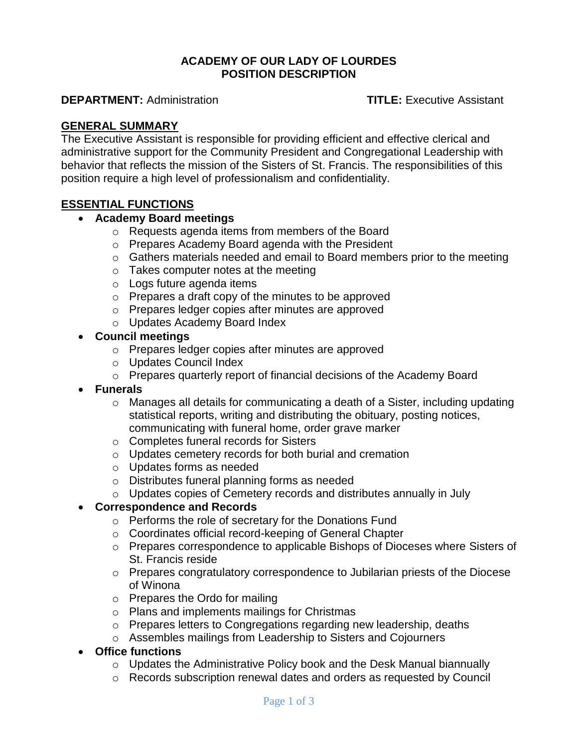#### **ACADEMY OF OUR LADY OF LOURDES POSITION DESCRIPTION**

**DEPARTMENT:** Administration **TITLE:** Executive Assistant

## **GENERAL SUMMARY**

The Executive Assistant is responsible for providing efficient and effective clerical and administrative support for the Community President and Congregational Leadership with behavior that reflects the mission of the Sisters of St. Francis. The responsibilities of this position require a high level of professionalism and confidentiality.

# **ESSENTIAL FUNCTIONS**

## **Academy Board meetings**

- o Requests agenda items from members of the Board
- o Prepares Academy Board agenda with the President
- o Gathers materials needed and email to Board members prior to the meeting
- o Takes computer notes at the meeting
- o Logs future agenda items
- o Prepares a draft copy of the minutes to be approved
- o Prepares ledger copies after minutes are approved
- o Updates Academy Board Index

## **Council meetings**

- o Prepares ledger copies after minutes are approved
- o Updates Council Index
- o Prepares quarterly report of financial decisions of the Academy Board
- **Funerals**
	- o Manages all details for communicating a death of a Sister, including updating statistical reports, writing and distributing the obituary, posting notices, communicating with funeral home, order grave marker
	- o Completes funeral records for Sisters
	- o Updates cemetery records for both burial and cremation
	- o Updates forms as needed
	- o Distributes funeral planning forms as needed
	- o Updates copies of Cemetery records and distributes annually in July

#### **Correspondence and Records**

- o Performs the role of secretary for the Donations Fund
- o Coordinates official record-keeping of General Chapter
- o Prepares correspondence to applicable Bishops of Dioceses where Sisters of St. Francis reside
- $\circ$  Prepares congratulatory correspondence to Jubilarian priests of the Diocese of Winona
- o Prepares the Ordo for mailing
- o Plans and implements mailings for Christmas
- o Prepares letters to Congregations regarding new leadership, deaths
- o Assembles mailings from Leadership to Sisters and Cojourners

#### **Office functions**

- o Updates the Administrative Policy book and the Desk Manual biannually
- o Records subscription renewal dates and orders as requested by Council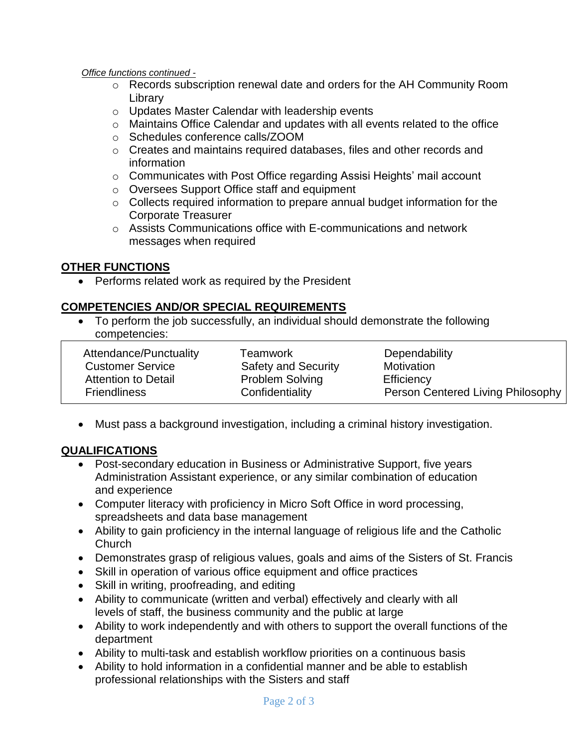*Office functions continued -*

- $\circ$  Records subscription renewal date and orders for the AH Community Room Library
- o Updates Master Calendar with leadership events
- o Maintains Office Calendar and updates with all events related to the office
- o Schedules conference calls/ZOOM
- o Creates and maintains required databases, files and other records and information
- o Communicates with Post Office regarding Assisi Heights' mail account
- o Oversees Support Office staff and equipment
- o Collects required information to prepare annual budget information for the Corporate Treasurer
- o Assists Communications office with E-communications and network messages when required

# **OTHER FUNCTIONS**

• Performs related work as required by the President

# **COMPETENCIES AND/OR SPECIAL REQUIREMENTS**

 To perform the job successfully, an individual should demonstrate the following competencies:

| Attendance/Punctuality     | Teamwork                   | Dependability                     |
|----------------------------|----------------------------|-----------------------------------|
| <b>Customer Service</b>    | <b>Safety and Security</b> | Motivation                        |
| <b>Attention to Detail</b> | <b>Problem Solving</b>     | Efficiency                        |
| <b>Friendliness</b>        | Confidentiality            | Person Centered Living Philosophy |

Must pass a background investigation, including a criminal history investigation.

# **QUALIFICATIONS**

- Post-secondary education in Business or Administrative Support, five years Administration Assistant experience, or any similar combination of education and experience
- Computer literacy with proficiency in Micro Soft Office in word processing, spreadsheets and data base management
- Ability to gain proficiency in the internal language of religious life and the Catholic Church
- Demonstrates grasp of religious values, goals and aims of the Sisters of St. Francis
- Skill in operation of various office equipment and office practices
- Skill in writing, proofreading, and editing
- Ability to communicate (written and verbal) effectively and clearly with all levels of staff, the business community and the public at large
- Ability to work independently and with others to support the overall functions of the department
- Ability to multi-task and establish workflow priorities on a continuous basis
- Ability to hold information in a confidential manner and be able to establish professional relationships with the Sisters and staff